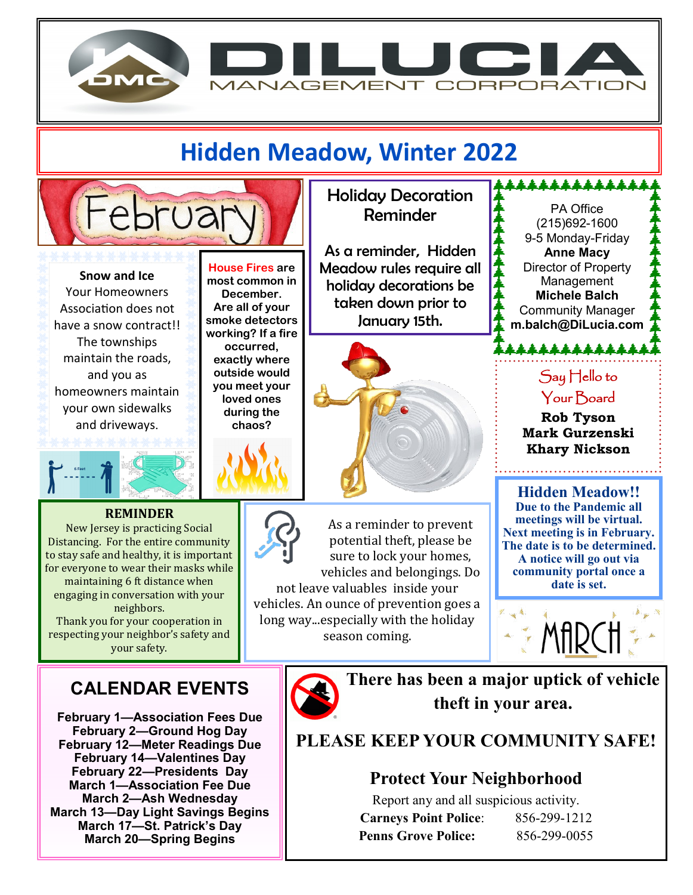

## **Hidden Meadow, Winter 2022**



**Snow and Ice** Your Homeowners Association does not have a snow contract!! The townships maintain the roads, and you as homeowners maintain your own sidewalks and driveways.



#### **REMINDER**

New Jersey is practicing Social Distancing. For the entire community to stay safe and healthy, it is important for everyone to wear their masks while maintaining 6 ft distance when engaging in conversation with your neighbors.

Thank you for your cooperation in respecting your neighbor's safety and your safety.

### **CALENDAR EVENTS**

**February 1—Association Fees Due February 2—Ground Hog Day February 12—Meter Readings Due February 14—Valentines Day February 22—Presidents Day March 1—Association Fee Due March 2—Ash Wednesday March 13—Day Light Savings Begins March 17—St. Patrick's Day March 20—Spring Begins**

**House Fires are most common in December. Are all of your smoke detectors working? If a fire occurred, exactly where outside would you meet your loved ones during the chaos?**

Holiday Decoration Reminder

As a reminder, Hidden Meadow rules require all holiday decorations be taken down prior to January 15th.



As a reminder to prevent potential theft, please be sure to lock your homes, vehicles and belongings. Do not leave valuables inside your

vehicles. An ounce of prevention goes a long way...especially with the holiday season coming.

PA Office (215)692-1600 9-5 Monday-Friday **Anne Macy** Director of Property Management **Michele Balch** Community Manager **m.balch@DiLucia.com**

**↓↓↓↓↓↓↓↓↓↓↓↓↓** 

Say Hello to Your Board

\*\*\*\*\*\*\*\*\*\*\*\*\*

**Rob Tyson Mark Gurzenski Khary Nickson**

. . . . . . . . . . . . . . . . .

**Hidden Meadow!! Due to the Pandemic all meetings will be virtual. Next meeting is in February. The date is to be determined. A notice will go out via community portal once a date is set.** 





**There has been a major uptick of vehicle theft in your area.**

**PLEASE KEEP YOUR COMMUNITY SAFE!**

#### **Protect Your Neighborhood**

Report any and all suspicious activity. **Carneys Point Police**: 856-299-1212 **Penns Grove Police:** 856-299-0055